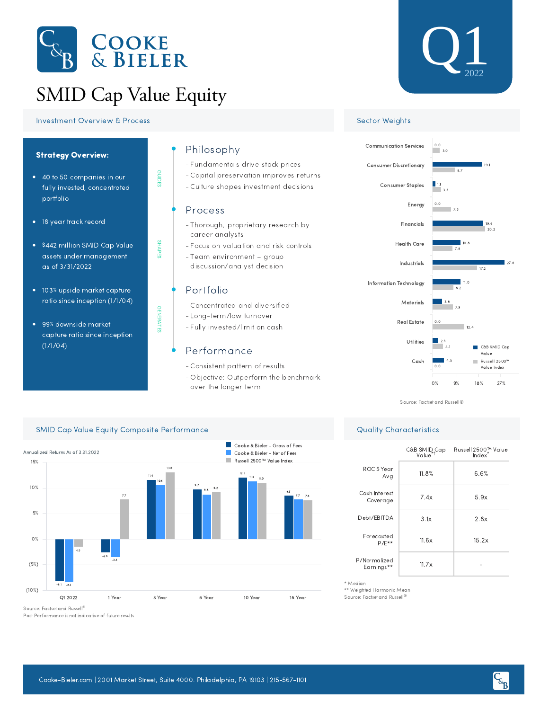

# SMID Cap Value Equity

GUIDES

SHAPES

GENERATES

**GENERATES** 

### **Investment Overview & Process Sector Weights** Sector Weights



99% downside market capture ratio since inception  $(1/1/04)$ 

# Philosophy

- Fundamentals drive stock prices -
- Capital preservation improves returns -
- Culture shapes investment decisions -

## Process

- Thorough, proprietary research by career analysts
- Focus on valuation and risk controls -
- Team environment group discussion/analyst decision

# Portfolio

- Concentrated and diversified -
- Long-term/low turnover
- Fully invested/limit on cash -

# Performance

- Consistent pattern of results -
- Objective: Outperform the benchmark over the longer term





Source: Factset and Russell®

C&B SMID<sub>+</sub>Cap<br>Value<sup>+</sup>

Debt/EBITDA  $3.1x$  2.8x

2, Cap Russell 2500™ Value Index

11.8% 6.6%

7.4x 5.9x

 $11.6x$  15.2x

 $11.7x$   $-$ 



\*\* Weighted Harmonic Mean

P/Normalized Earnings\*\*

ROC 5 Year Avg

Cash Interest Coverage

Forecasted  $P/F**$ 

Source: Factset and Russell ®

\* Median

Past Performance is not indicative of future results